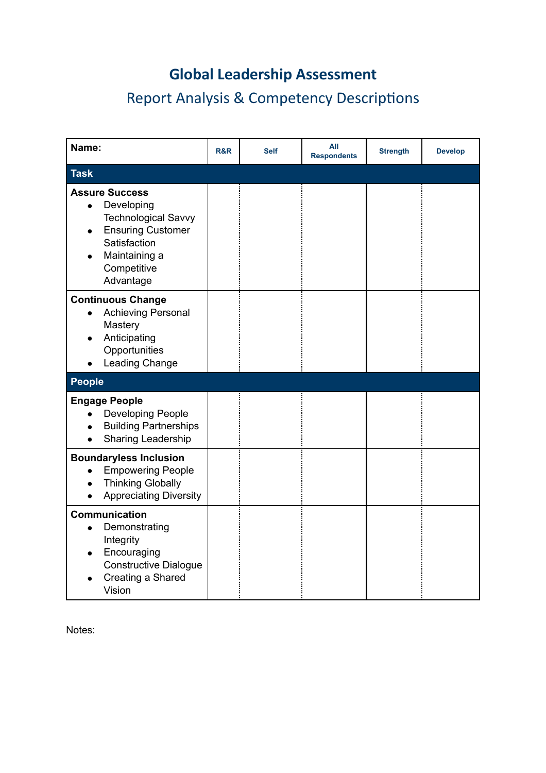# **Global Leadership Assessment**

# Report Analysis & Competency Descriptions

| Name:                                                                                                                                                                   | R&R | <b>Self</b> | All<br><b>Respondents</b> | <b>Strength</b> | <b>Develop</b> |
|-------------------------------------------------------------------------------------------------------------------------------------------------------------------------|-----|-------------|---------------------------|-----------------|----------------|
| <b>Task</b>                                                                                                                                                             |     |             |                           |                 |                |
| <b>Assure Success</b><br>Developing<br>$\bullet$<br><b>Technological Savvy</b><br><b>Ensuring Customer</b><br>Satisfaction<br>Maintaining a<br>Competitive<br>Advantage |     |             |                           |                 |                |
| <b>Continuous Change</b><br><b>Achieving Personal</b><br>$\bullet$<br>Mastery<br>Anticipating<br>Opportunities<br>Leading Change                                        |     |             |                           |                 |                |
| <b>People</b>                                                                                                                                                           |     |             |                           |                 |                |
| <b>Engage People</b><br><b>Developing People</b><br><b>Building Partnerships</b><br>Sharing Leadership                                                                  |     |             |                           |                 |                |
| <b>Boundaryless Inclusion</b><br><b>Empowering People</b><br><b>Thinking Globally</b><br><b>Appreciating Diversity</b>                                                  |     |             |                           |                 |                |
| <b>Communication</b><br>Demonstrating<br>Integrity<br>Encouraging<br><b>Constructive Dialogue</b><br>Creating a Shared<br>Vision                                        |     |             |                           |                 |                |

Notes: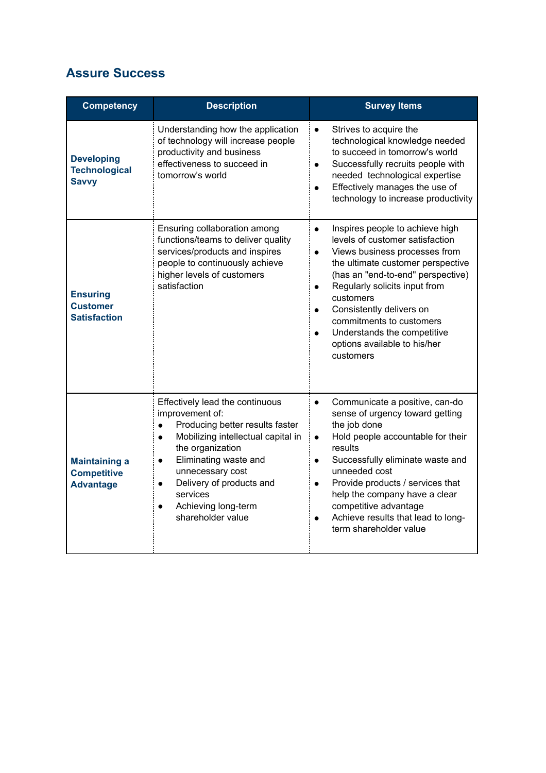#### **Assure Success**

| <b>Competency</b>                                              | <b>Description</b>                                                                                                                                                                                                                                                                                                                   | <b>Survey Items</b>                                                                                                                                                                                                                                                                                                                                                                                                              |
|----------------------------------------------------------------|--------------------------------------------------------------------------------------------------------------------------------------------------------------------------------------------------------------------------------------------------------------------------------------------------------------------------------------|----------------------------------------------------------------------------------------------------------------------------------------------------------------------------------------------------------------------------------------------------------------------------------------------------------------------------------------------------------------------------------------------------------------------------------|
| <b>Developing</b><br><b>Technological</b><br><b>Savvy</b>      | Understanding how the application<br>of technology will increase people<br>productivity and business<br>effectiveness to succeed in<br>tomorrow's world                                                                                                                                                                              | Strives to acquire the<br>$\bullet$<br>technological knowledge needed<br>to succeed in tomorrow's world<br>Successfully recruits people with<br>$\bullet$<br>needed technological expertise<br>Effectively manages the use of<br>$\bullet$<br>technology to increase productivity                                                                                                                                                |
| <b>Ensuring</b><br><b>Customer</b><br><b>Satisfaction</b>      | Ensuring collaboration among<br>functions/teams to deliver quality<br>services/products and inspires<br>people to continuously achieve<br>higher levels of customers<br>satisfaction                                                                                                                                                 | Inspires people to achieve high<br>$\bullet$<br>levels of customer satisfaction<br>Views business processes from<br>$\bullet$<br>the ultimate customer perspective<br>(has an "end-to-end" perspective)<br>Regularly solicits input from<br>$\bullet$<br>customers<br>Consistently delivers on<br>$\bullet$<br>commitments to customers<br>Understands the competitive<br>$\bullet$<br>options available to his/her<br>customers |
| <b>Maintaining a</b><br><b>Competitive</b><br><b>Advantage</b> | Effectively lead the continuous<br>improvement of:<br>Producing better results faster<br>$\bullet$<br>Mobilizing intellectual capital in<br>$\bullet$<br>the organization<br>Eliminating waste and<br>$\bullet$<br>unnecessary cost<br>Delivery of products and<br>$\bullet$<br>services<br>Achieving long-term<br>shareholder value | Communicate a positive, can-do<br>$\bullet$<br>sense of urgency toward getting<br>the job done<br>Hold people accountable for their<br>$\bullet$<br>results<br>Successfully eliminate waste and<br>$\bullet$<br>unneeded cost<br>Provide products / services that<br>$\bullet$<br>help the company have a clear<br>competitive advantage<br>Achieve results that lead to long-<br>term shareholder value                         |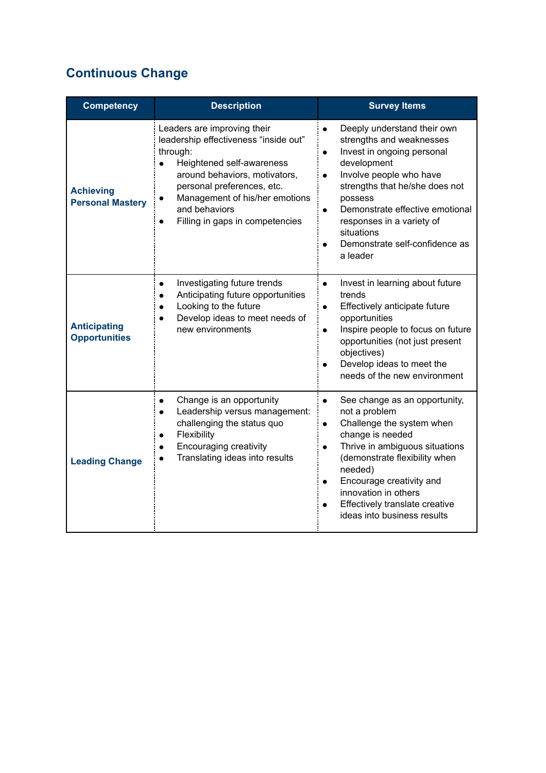### **Continuous Change**

| <b>Competency</b>                           | <b>Description</b>                                                                                                                                                                                                                                                              | <b>Survey Items</b>                                                                                                                                                                                                                                                                                                                                          |
|---------------------------------------------|---------------------------------------------------------------------------------------------------------------------------------------------------------------------------------------------------------------------------------------------------------------------------------|--------------------------------------------------------------------------------------------------------------------------------------------------------------------------------------------------------------------------------------------------------------------------------------------------------------------------------------------------------------|
| <b>Achieving</b><br><b>Personal Mastery</b> | Leaders are improving their<br>leadership effectiveness "inside out"<br>through:<br>Heightened self-awareness<br>$\bullet$<br>around behaviors, motivators,<br>personal preferences, etc.<br>Management of his/her emotions<br>and behaviors<br>Filling in gaps in competencies | Deeply understand their own<br>$\bullet$<br>strengths and weaknesses<br>Invest in ongoing personal<br>$\bullet$<br>development<br>Involve people who have<br>$\bullet$<br>strengths that he/she does not<br>possess<br>Demonstrate effective emotional<br>$\bullet$<br>responses in a variety of<br>situations<br>Demonstrate self-confidence as<br>a leader |
| <b>Anticipating</b><br><b>Opportunities</b> | Investigating future trends<br>$\bullet$<br>Anticipating future opportunities<br>$\bullet$<br>Looking to the future<br>$\bullet$<br>Develop ideas to meet needs of<br>new environments                                                                                          | Invest in learning about future<br>$\bullet$<br>trends<br>Effectively anticipate future<br>$\bullet$<br>opportunities<br>Inspire people to focus on future<br>$\bullet$<br>opportunities (not just present<br>objectives)<br>Develop ideas to meet the<br>needs of the new environment                                                                       |
| <b>Leading Change</b>                       | Change is an opportunity<br>$\bullet$<br>Leadership versus management:<br>$\bullet$<br>challenging the status quo<br>Flexibility<br>$\bullet$<br>Encouraging creativity<br>$\bullet$<br>Translating ideas into results                                                          | See change as an opportunity,<br>$\bullet$<br>not a problem<br>Challenge the system when<br>$\bullet$<br>change is needed<br>Thrive in ambiguous situations<br>$\bullet$<br>(demonstrate flexibility when<br>needed)<br>Encourage creativity and<br>$\bullet$<br>innovation in others<br>Effectively translate creative<br>ideas into business results       |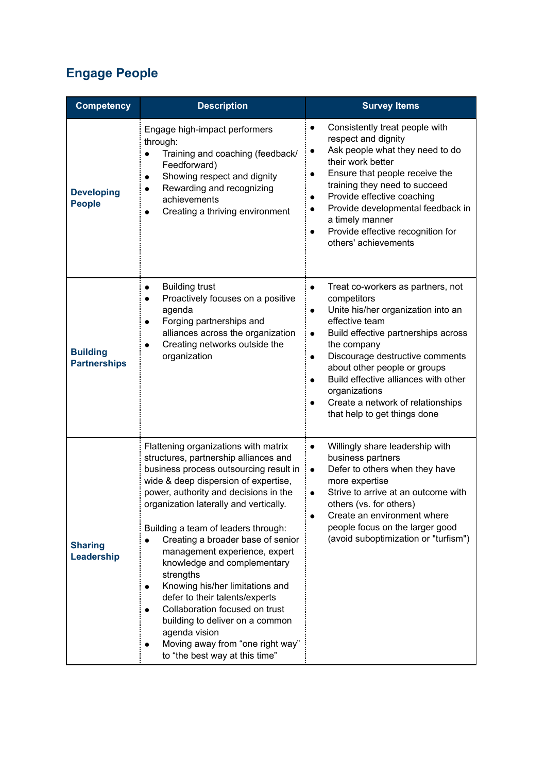### **Engage People**

| <b>Competency</b>                      | <b>Description</b>                                                                                                                                                                                                                                                                                                                                                                                                                                                                                                                                                                                                                           | <b>Survey Items</b>                                                                                                                                                                                                                                                                                                                                                                                                 |
|----------------------------------------|----------------------------------------------------------------------------------------------------------------------------------------------------------------------------------------------------------------------------------------------------------------------------------------------------------------------------------------------------------------------------------------------------------------------------------------------------------------------------------------------------------------------------------------------------------------------------------------------------------------------------------------------|---------------------------------------------------------------------------------------------------------------------------------------------------------------------------------------------------------------------------------------------------------------------------------------------------------------------------------------------------------------------------------------------------------------------|
| <b>Developing</b><br><b>People</b>     | Engage high-impact performers<br>through:<br>Training and coaching (feedback/<br>Feedforward)<br>Showing respect and dignity<br>Rewarding and recognizing<br>achievements<br>Creating a thriving environment                                                                                                                                                                                                                                                                                                                                                                                                                                 | Consistently treat people with<br>respect and dignity<br>Ask people what they need to do<br>their work better<br>Ensure that people receive the<br>training they need to succeed<br>Provide effective coaching<br>Provide developmental feedback in<br>a timely manner<br>Provide effective recognition for<br>others' achievements                                                                                 |
| <b>Building</b><br><b>Partnerships</b> | <b>Building trust</b><br>Proactively focuses on a positive<br>agenda<br>Forging partnerships and<br>alliances across the organization<br>Creating networks outside the<br>organization                                                                                                                                                                                                                                                                                                                                                                                                                                                       | Treat co-workers as partners, not<br>$\bullet$<br>competitors<br>Unite his/her organization into an<br>$\bullet$<br>effective team<br>Build effective partnerships across<br>$\bullet$<br>the company<br>Discourage destructive comments<br>$\bullet$<br>about other people or groups<br>Build effective alliances with other<br>organizations<br>Create a network of relationships<br>that help to get things done |
| <b>Sharing</b><br>Leadership           | Flattening organizations with matrix<br>structures, partnership alliances and<br>business process outsourcing result in<br>wide & deep dispersion of expertise,<br>power, authority and decisions in the<br>organization laterally and vertically.<br>Building a team of leaders through:<br>Creating a broader base of senior<br>management experience, expert<br>knowledge and complementary<br>strengths<br>Knowing his/her limitations and<br>defer to their talents/experts<br>Collaboration focused on trust<br>building to deliver on a common<br>agenda vision<br>Moving away from "one right way"<br>to "the best way at this time" | Willingly share leadership with<br>$\bullet$<br>business partners<br>Defer to others when they have<br>$\bullet$<br>more expertise<br>Strive to arrive at an outcome with<br>others (vs. for others)<br>Create an environment where<br>people focus on the larger good<br>(avoid suboptimization or "turfism")                                                                                                      |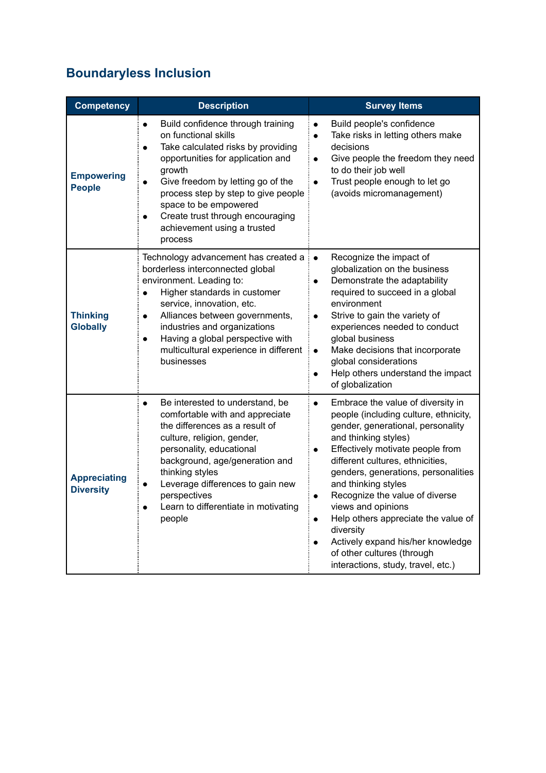## **Boundaryless Inclusion**

| <b>Competency</b>                       | <b>Description</b>                                                                                                                                                                                                                                                                                                                                                       | <b>Survey Items</b>                                                                                                                                                                                                                                                                                                                                                                                                                                                                                                                                                 |
|-----------------------------------------|--------------------------------------------------------------------------------------------------------------------------------------------------------------------------------------------------------------------------------------------------------------------------------------------------------------------------------------------------------------------------|---------------------------------------------------------------------------------------------------------------------------------------------------------------------------------------------------------------------------------------------------------------------------------------------------------------------------------------------------------------------------------------------------------------------------------------------------------------------------------------------------------------------------------------------------------------------|
| <b>Empowering</b><br><b>People</b>      | Build confidence through training<br>$\bullet$<br>on functional skills<br>Take calculated risks by providing<br>$\bullet$<br>opportunities for application and<br>growth<br>Give freedom by letting go of the<br>$\bullet$<br>process step by step to give people<br>space to be empowered<br>Create trust through encouraging<br>achievement using a trusted<br>process | Build people's confidence<br>$\bullet$<br>Take risks in letting others make<br>$\bullet$<br>decisions<br>Give people the freedom they need<br>$\bullet$<br>to do their job well<br>Trust people enough to let go<br>$\bullet$<br>(avoids micromanagement)                                                                                                                                                                                                                                                                                                           |
| <b>Thinking</b><br><b>Globally</b>      | Technology advancement has created a<br>borderless interconnected global<br>environment. Leading to:<br>Higher standards in customer<br>$\bullet$<br>service, innovation, etc.<br>Alliances between governments,<br>$\bullet$<br>industries and organizations<br>Having a global perspective with<br>multicultural experience in different<br>businesses                 | Recognize the impact of<br>$\bullet$<br>globalization on the business<br>Demonstrate the adaptability<br>required to succeed in a global<br>environment<br>Strive to gain the variety of<br>$\bullet$<br>experiences needed to conduct<br>global business<br>Make decisions that incorporate<br>$\bullet$<br>global considerations<br>Help others understand the impact<br>$\bullet$<br>of globalization                                                                                                                                                            |
| <b>Appreciating</b><br><b>Diversity</b> | Be interested to understand, be<br>comfortable with and appreciate<br>the differences as a result of<br>culture, religion, gender,<br>personality, educational<br>background, age/generation and<br>thinking styles<br>Leverage differences to gain new<br>perspectives<br>Learn to differentiate in motivating<br>people                                                | Embrace the value of diversity in<br>$\bullet$<br>people (including culture, ethnicity,<br>gender, generational, personality<br>and thinking styles)<br>Effectively motivate people from<br>$\bullet$<br>different cultures, ethnicities,<br>genders, generations, personalities<br>and thinking styles<br>Recognize the value of diverse<br>$\bullet$<br>views and opinions<br>Help others appreciate the value of<br>$\bullet$<br>diversity<br>Actively expand his/her knowledge<br>$\bullet$<br>of other cultures (through<br>interactions, study, travel, etc.) |